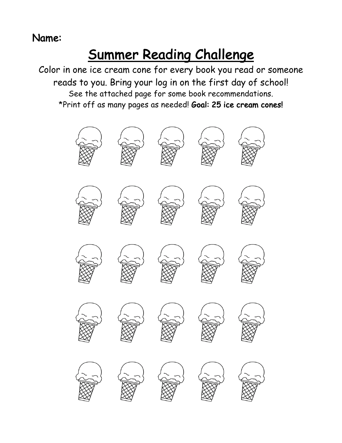## Name:

## Summer Reading Challenge

Color in one ice cream cone for every book you read or someone reads to you. Bring your log in on the first day of school! See the attached page for some book recommendations. \*Print off as many pages as needed! Goal: 25 ice cream cones!